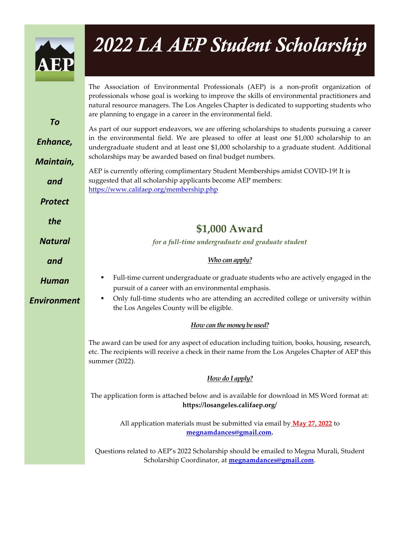

# *2022 LA AEP Student Scholarship*

I *Natural* The Association of Environmental Professionals (AEP) is a non-profit organization of professionals whose goal is working to improve the skills of environmental practitioners and natural resource managers. The Los Angeles Chapter is dedicated to supporting students who are planning to engage in a career in the environmental field. As part of our support endeavors, we are offering scholarships to students pursuing a career in the environmental field. We are pleased to offer at least one \$1,000 scholarship to an undergraduate student and at least one \$1,000 scholarship to a graduate student. Additional scholarships may be awarded based on final budget numbers. AEP is currently offering complimentary Student Memberships amidst COVID-19! It is suggested that all scholarship applicants become AEP members: <https://www.califaep.org/membership.php> **\$1,000 Award** *for a full-time undergraduate and graduate student Who can apply?* Full-time current undergraduate or graduate students who are actively engaged in the pursuit of a career with an environmental emphasis. Only full-time students who are attending an accredited college or university within the Los Angeles County will be eligible. *How can the money be used?* The award can be used for any aspect of education including tuition, books, housing, research, etc. The recipients will receive a check in their name from the Los Angeles Chapter of AEP this summer (2022). *How do I apply?*

> The application form is attached below and is available for download in MS Word format at: **https://losangeles.califaep.org/**

> > All application materials must be submitted via email by **May 27, 2022** to **megnamdances@gmail.com.**

Questions related to AEP's 2022 Scholarship should be emailed to Megna Murali, Student Scholarship Coordinator, at **megnamdances@gmail.com**.

*Enhance, Maintain, and Protect the*

*To*

*and*

*Human*

*Environment*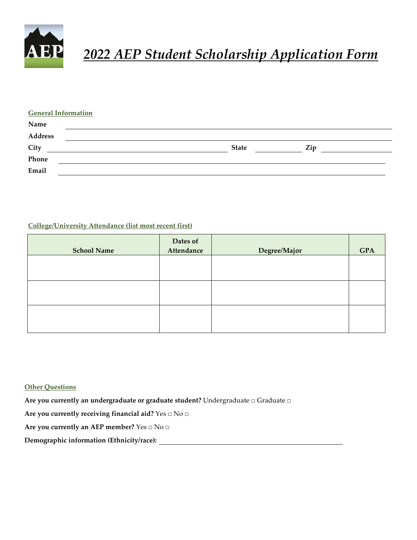

## *2022 AEP Student Scholarship Application Form*

|         | <b>General Information</b> |              |     |  |
|---------|----------------------------|--------------|-----|--|
| Name    |                            |              |     |  |
| Address |                            |              |     |  |
| City    |                            | <b>State</b> | Zip |  |
| Phone   |                            |              |     |  |
| Email   |                            |              |     |  |

#### **College/University Attendance (list most recent first)**

| <b>School Name</b> | Dates of<br>Attendance | Degree/Major | <b>GPA</b> |
|--------------------|------------------------|--------------|------------|
|                    |                        |              |            |
|                    |                        |              |            |
|                    |                        |              |            |
|                    |                        |              |            |

#### **Other Questions**

**Are you currently an undergraduate or graduate student?** Undergraduate □ Graduate □

**Are you currently receiving financial aid?** Yes □ No □

**Are you currently an AEP member?** Yes □ No □

**Demographic information (Ethnicity/race):**